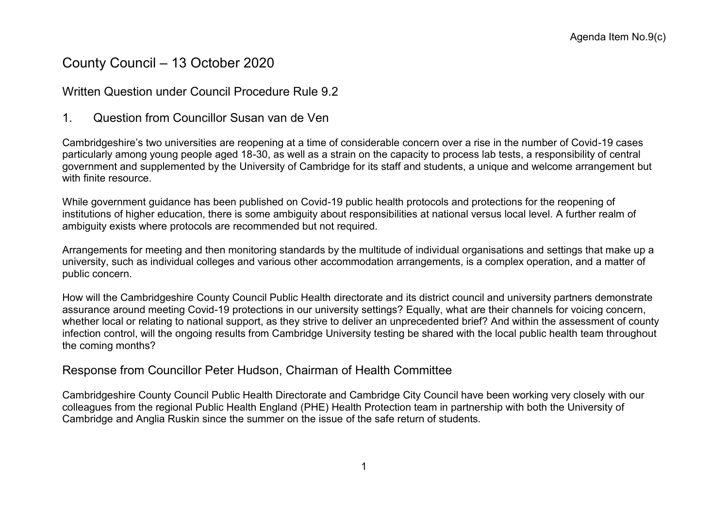# County Council – 13 October 2020

### Written Question under Council Procedure Rule 9.2

1. Question from Councillor Susan van de Ven

Cambridgeshire's two universities are reopening at a time of considerable concern over a rise in the number of Covid-19 cases particularly among young people aged 18-30, as well as a strain on the capacity to process lab tests, a responsibility of central government and supplemented by the University of Cambridge for its staff and students, a unique and welcome arrangement but with finite resource.

While government guidance has been published on Covid-19 public health protocols and protections for the reopening of institutions of higher education, there is some ambiguity about responsibilities at national versus local level. A further realm of ambiguity exists where protocols are recommended but not required.

Arrangements for meeting and then monitoring standards by the multitude of individual organisations and settings that make up a university, such as individual colleges and various other accommodation arrangements, is a complex operation, and a matter of public concern.

How will the Cambridgeshire County Council Public Health directorate and its district council and university partners demonstrate assurance around meeting Covid-19 protections in our university settings? Equally, what are their channels for voicing concern, whether local or relating to national support, as they strive to deliver an unprecedented brief? And within the assessment of county infection control, will the ongoing results from Cambridge University testing be shared with the local public health team throughout the coming months?

#### Response from Councillor Peter Hudson, Chairman of Health Committee

Cambridgeshire County Council Public Health Directorate and Cambridge City Council have been working very closely with our colleagues from the regional Public Health England (PHE) Health Protection team in partnership with both the University of Cambridge and Anglia Ruskin since the summer on the issue of the safe return of students.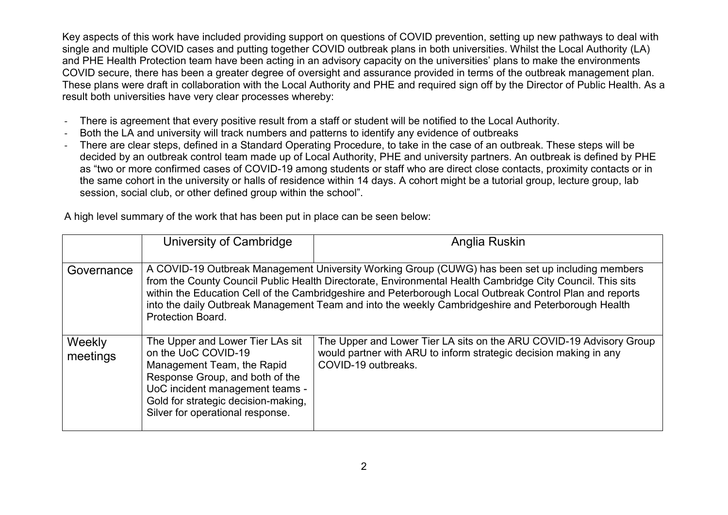Key aspects of this work have included providing support on questions of COVID prevention, setting up new pathways to deal with single and multiple COVID cases and putting together COVID outbreak plans in both universities. Whilst the Local Authority (LA) and PHE Health Protection team have been acting in an advisory capacity on the universities' plans to make the environments COVID secure, there has been a greater degree of oversight and assurance provided in terms of the outbreak management plan. These plans were draft in collaboration with the Local Authority and PHE and required sign off by the Director of Public Health. As a result both universities have very clear processes whereby:

- There is agreement that every positive result from a staff or student will be notified to the Local Authority.
- Both the LA and university will track numbers and patterns to identify any evidence of outbreaks
- There are clear steps, defined in a Standard Operating Procedure, to take in the case of an outbreak. These steps will be decided by an outbreak control team made up of Local Authority, PHE and university partners. An outbreak is defined by PHE as "two or more confirmed cases of COVID-19 among students or staff who are direct close contacts, proximity contacts or in the same cohort in the university or halls of residence within 14 days. A cohort might be a tutorial group, lecture group, lab session, social club, or other defined group within the school".

|  | A high level summary of the work that has been put in place can be seen below: |  |
|--|--------------------------------------------------------------------------------|--|
|  |                                                                                |  |

|                    | University of Cambridge                                                                                                                                                                                                                                                                                                                                                                                                                                     | Anglia Ruskin                                                                                                                                                   |
|--------------------|-------------------------------------------------------------------------------------------------------------------------------------------------------------------------------------------------------------------------------------------------------------------------------------------------------------------------------------------------------------------------------------------------------------------------------------------------------------|-----------------------------------------------------------------------------------------------------------------------------------------------------------------|
| Governance         | A COVID-19 Outbreak Management University Working Group (CUWG) has been set up including members<br>from the County Council Public Health Directorate, Environmental Health Cambridge City Council. This sits<br>within the Education Cell of the Cambridgeshire and Peterborough Local Outbreak Control Plan and reports<br>into the daily Outbreak Management Team and into the weekly Cambridgeshire and Peterborough Health<br><b>Protection Board.</b> |                                                                                                                                                                 |
| Weekly<br>meetings | The Upper and Lower Tier LAs sit<br>on the UoC COVID-19<br>Management Team, the Rapid<br>Response Group, and both of the<br>UoC incident management teams -<br>Gold for strategic decision-making,<br>Silver for operational response.                                                                                                                                                                                                                      | The Upper and Lower Tier LA sits on the ARU COVID-19 Advisory Group<br>would partner with ARU to inform strategic decision making in any<br>COVID-19 outbreaks. |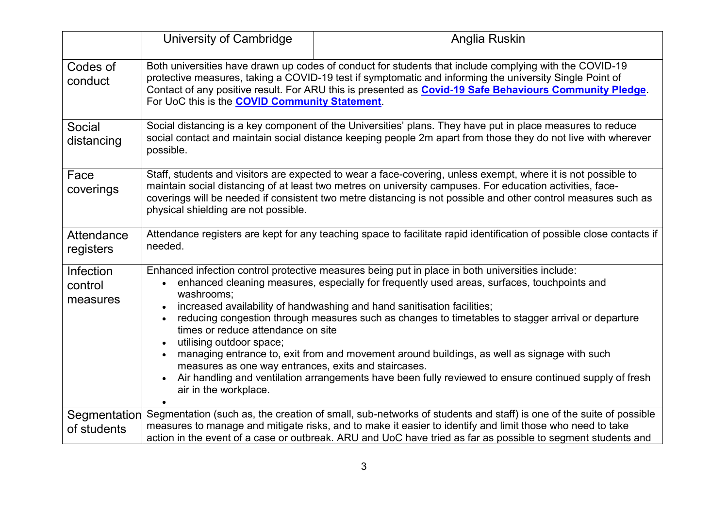|                                  | University of Cambridge                                                                                                                                                                                                                                                                                                                                                                        | Anglia Ruskin                                                                                                                                                                                                                                                                                                                                                                                                                                                                                                                                                                            |
|----------------------------------|------------------------------------------------------------------------------------------------------------------------------------------------------------------------------------------------------------------------------------------------------------------------------------------------------------------------------------------------------------------------------------------------|------------------------------------------------------------------------------------------------------------------------------------------------------------------------------------------------------------------------------------------------------------------------------------------------------------------------------------------------------------------------------------------------------------------------------------------------------------------------------------------------------------------------------------------------------------------------------------------|
| Codes of<br>conduct              | Both universities have drawn up codes of conduct for students that include complying with the COVID-19<br>protective measures, taking a COVID-19 test if symptomatic and informing the university Single Point of<br>Contact of any positive result. For ARU this is presented as <b>Covid-19 Safe Behaviours Community Pledge</b> .<br>For UoC this is the <b>COVID Community Statement</b> . |                                                                                                                                                                                                                                                                                                                                                                                                                                                                                                                                                                                          |
| Social<br>distancing             | Social distancing is a key component of the Universities' plans. They have put in place measures to reduce<br>social contact and maintain social distance keeping people 2m apart from those they do not live with wherever<br>possible.                                                                                                                                                       |                                                                                                                                                                                                                                                                                                                                                                                                                                                                                                                                                                                          |
| Face<br>coverings                | physical shielding are not possible.                                                                                                                                                                                                                                                                                                                                                           | Staff, students and visitors are expected to wear a face-covering, unless exempt, where it is not possible to<br>maintain social distancing of at least two metres on university campuses. For education activities, face-<br>coverings will be needed if consistent two metre distancing is not possible and other control measures such as                                                                                                                                                                                                                                             |
| Attendance<br>registers          | needed.                                                                                                                                                                                                                                                                                                                                                                                        | Attendance registers are kept for any teaching space to facilitate rapid identification of possible close contacts if                                                                                                                                                                                                                                                                                                                                                                                                                                                                    |
| Infection<br>control<br>measures | $\bullet$<br>washrooms;<br>$\bullet$<br>times or reduce attendance on site<br>utilising outdoor space;<br>$\bullet$<br>$\bullet$<br>measures as one way entrances, exits and staircases.<br>$\bullet$<br>air in the workplace.                                                                                                                                                                 | Enhanced infection control protective measures being put in place in both universities include:<br>enhanced cleaning measures, especially for frequently used areas, surfaces, touchpoints and<br>increased availability of handwashing and hand sanitisation facilities;<br>reducing congestion through measures such as changes to timetables to stagger arrival or departure<br>managing entrance to, exit from and movement around buildings, as well as signage with such<br>Air handling and ventilation arrangements have been fully reviewed to ensure continued supply of fresh |
| Segmentation<br>of students      |                                                                                                                                                                                                                                                                                                                                                                                                | Segmentation (such as, the creation of small, sub-networks of students and staff) is one of the suite of possible<br>measures to manage and mitigate risks, and to make it easier to identify and limit those who need to take<br>action in the event of a case or outbreak. ARU and UoC have tried as far as possible to segment students and                                                                                                                                                                                                                                           |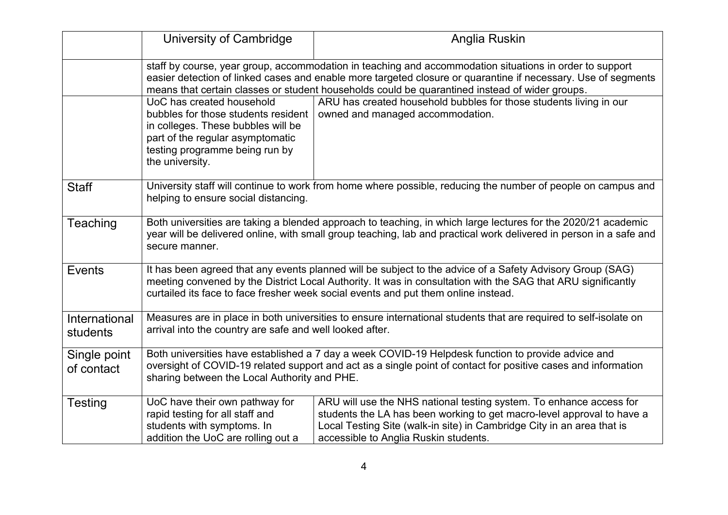|                            | University of Cambridge                                                                                                                                                                                                                                                                                                    | Anglia Ruskin                                                                                                                                                                                                                                                                                                   |
|----------------------------|----------------------------------------------------------------------------------------------------------------------------------------------------------------------------------------------------------------------------------------------------------------------------------------------------------------------------|-----------------------------------------------------------------------------------------------------------------------------------------------------------------------------------------------------------------------------------------------------------------------------------------------------------------|
|                            | staff by course, year group, accommodation in teaching and accommodation situations in order to support<br>easier detection of linked cases and enable more targeted closure or quarantine if necessary. Use of segments<br>means that certain classes or student households could be quarantined instead of wider groups. |                                                                                                                                                                                                                                                                                                                 |
|                            | UoC has created household<br>bubbles for those students resident<br>in colleges. These bubbles will be<br>part of the regular asymptomatic<br>testing programme being run by<br>the university.                                                                                                                            | ARU has created household bubbles for those students living in our<br>owned and managed accommodation.                                                                                                                                                                                                          |
| <b>Staff</b>               | helping to ensure social distancing.                                                                                                                                                                                                                                                                                       | University staff will continue to work from home where possible, reducing the number of people on campus and                                                                                                                                                                                                    |
| Teaching                   | Both universities are taking a blended approach to teaching, in which large lectures for the 2020/21 academic<br>year will be delivered online, with small group teaching, lab and practical work delivered in person in a safe and<br>secure manner.                                                                      |                                                                                                                                                                                                                                                                                                                 |
| Events                     |                                                                                                                                                                                                                                                                                                                            | It has been agreed that any events planned will be subject to the advice of a Safety Advisory Group (SAG)<br>meeting convened by the District Local Authority. It was in consultation with the SAG that ARU significantly<br>curtailed its face to face fresher week social events and put them online instead. |
| International<br>students  | Measures are in place in both universities to ensure international students that are required to self-isolate on<br>arrival into the country are safe and well looked after.                                                                                                                                               |                                                                                                                                                                                                                                                                                                                 |
| Single point<br>of contact | Both universities have established a 7 day a week COVID-19 Helpdesk function to provide advice and<br>oversight of COVID-19 related support and act as a single point of contact for positive cases and information<br>sharing between the Local Authority and PHE.                                                        |                                                                                                                                                                                                                                                                                                                 |
| <b>Testing</b>             | UoC have their own pathway for<br>rapid testing for all staff and<br>students with symptoms. In<br>addition the UoC are rolling out a                                                                                                                                                                                      | ARU will use the NHS national testing system. To enhance access for<br>students the LA has been working to get macro-level approval to have a<br>Local Testing Site (walk-in site) in Cambridge City in an area that is<br>accessible to Anglia Ruskin students.                                                |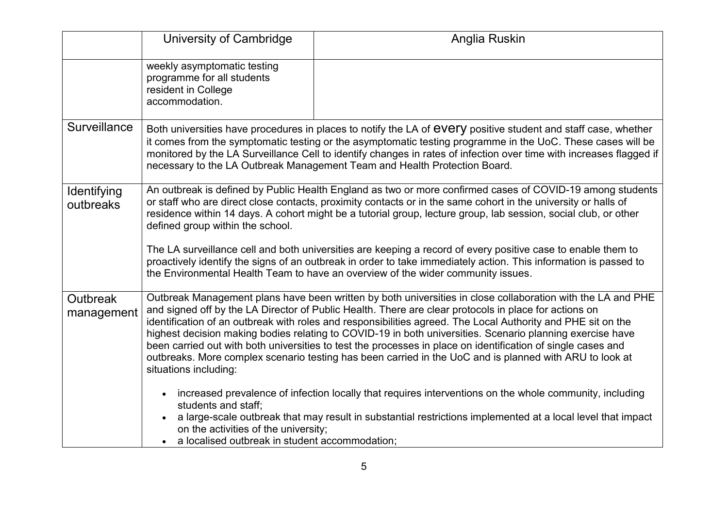|                               | University of Cambridge                                                                                                                                                                                                                                                                                                                                                                                                                                                                                                                                                                                                                                                                                    | Anglia Ruskin                                                                                                                                                                                                                                                                                                                                                                                                                                                                                                                                                                                                                                                                                                                                                                                                                                                                                          |
|-------------------------------|------------------------------------------------------------------------------------------------------------------------------------------------------------------------------------------------------------------------------------------------------------------------------------------------------------------------------------------------------------------------------------------------------------------------------------------------------------------------------------------------------------------------------------------------------------------------------------------------------------------------------------------------------------------------------------------------------------|--------------------------------------------------------------------------------------------------------------------------------------------------------------------------------------------------------------------------------------------------------------------------------------------------------------------------------------------------------------------------------------------------------------------------------------------------------------------------------------------------------------------------------------------------------------------------------------------------------------------------------------------------------------------------------------------------------------------------------------------------------------------------------------------------------------------------------------------------------------------------------------------------------|
|                               | weekly asymptomatic testing<br>programme for all students<br>resident in College<br>accommodation.                                                                                                                                                                                                                                                                                                                                                                                                                                                                                                                                                                                                         |                                                                                                                                                                                                                                                                                                                                                                                                                                                                                                                                                                                                                                                                                                                                                                                                                                                                                                        |
| Surveillance                  |                                                                                                                                                                                                                                                                                                                                                                                                                                                                                                                                                                                                                                                                                                            | Both universities have procedures in places to notify the LA of EVETY positive student and staff case, whether<br>it comes from the symptomatic testing or the asymptomatic testing programme in the UoC. These cases will be<br>monitored by the LA Surveillance Cell to identify changes in rates of infection over time with increases flagged if<br>necessary to the LA Outbreak Management Team and Health Protection Board.                                                                                                                                                                                                                                                                                                                                                                                                                                                                      |
| Identifying<br>outbreaks      | An outbreak is defined by Public Health England as two or more confirmed cases of COVID-19 among students<br>or staff who are direct close contacts, proximity contacts or in the same cohort in the university or halls of<br>residence within 14 days. A cohort might be a tutorial group, lecture group, lab session, social club, or other<br>defined group within the school.<br>The LA surveillance cell and both universities are keeping a record of every positive case to enable them to<br>proactively identify the signs of an outbreak in order to take immediately action. This information is passed to<br>the Environmental Health Team to have an overview of the wider community issues. |                                                                                                                                                                                                                                                                                                                                                                                                                                                                                                                                                                                                                                                                                                                                                                                                                                                                                                        |
| <b>Outbreak</b><br>management | situations including:<br>students and staff;<br>on the activities of the university;<br>a localised outbreak in student accommodation;                                                                                                                                                                                                                                                                                                                                                                                                                                                                                                                                                                     | Outbreak Management plans have been written by both universities in close collaboration with the LA and PHE<br>and signed off by the LA Director of Public Health. There are clear protocols in place for actions on<br>identification of an outbreak with roles and responsibilities agreed. The Local Authority and PHE sit on the<br>highest decision making bodies relating to COVID-19 in both universities. Scenario planning exercise have<br>been carried out with both universities to test the processes in place on identification of single cases and<br>outbreaks. More complex scenario testing has been carried in the UoC and is planned with ARU to look at<br>increased prevalence of infection locally that requires interventions on the whole community, including<br>a large-scale outbreak that may result in substantial restrictions implemented at a local level that impact |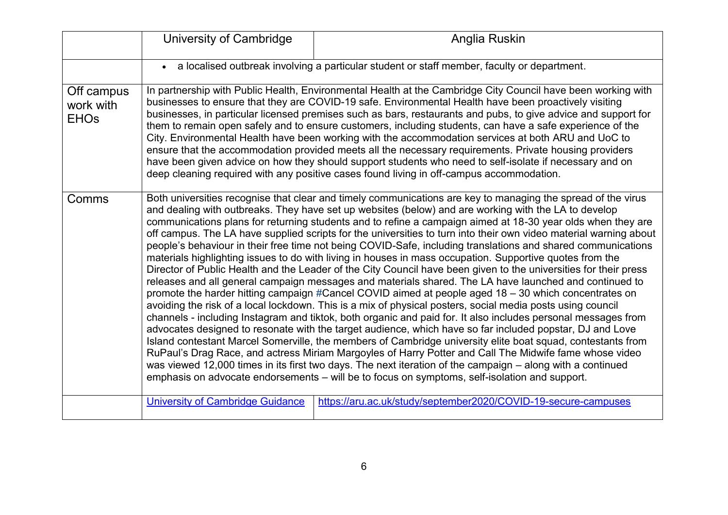|                                        | University of Cambridge                                                                                                                                                                                                                                                                                                                                                                                                                                                                                                                                                                                                                                                                                                                                                                                                                                                                                                                                                                                                                                                                                                                                                                                                                                                                                                                                                                                                                                                                                                                                                                                                                                                                                                                                                                                                                                                                                                    | Anglia Ruskin                                                                                                                                                                                                                                                                                                                                                                                                                                                                                                                                                                                                                                                                                                                                                                                                                                                                |
|----------------------------------------|----------------------------------------------------------------------------------------------------------------------------------------------------------------------------------------------------------------------------------------------------------------------------------------------------------------------------------------------------------------------------------------------------------------------------------------------------------------------------------------------------------------------------------------------------------------------------------------------------------------------------------------------------------------------------------------------------------------------------------------------------------------------------------------------------------------------------------------------------------------------------------------------------------------------------------------------------------------------------------------------------------------------------------------------------------------------------------------------------------------------------------------------------------------------------------------------------------------------------------------------------------------------------------------------------------------------------------------------------------------------------------------------------------------------------------------------------------------------------------------------------------------------------------------------------------------------------------------------------------------------------------------------------------------------------------------------------------------------------------------------------------------------------------------------------------------------------------------------------------------------------------------------------------------------------|------------------------------------------------------------------------------------------------------------------------------------------------------------------------------------------------------------------------------------------------------------------------------------------------------------------------------------------------------------------------------------------------------------------------------------------------------------------------------------------------------------------------------------------------------------------------------------------------------------------------------------------------------------------------------------------------------------------------------------------------------------------------------------------------------------------------------------------------------------------------------|
|                                        |                                                                                                                                                                                                                                                                                                                                                                                                                                                                                                                                                                                                                                                                                                                                                                                                                                                                                                                                                                                                                                                                                                                                                                                                                                                                                                                                                                                                                                                                                                                                                                                                                                                                                                                                                                                                                                                                                                                            | • a localised outbreak involving a particular student or staff member, faculty or department.                                                                                                                                                                                                                                                                                                                                                                                                                                                                                                                                                                                                                                                                                                                                                                                |
| Off campus<br>work with<br><b>EHOs</b> |                                                                                                                                                                                                                                                                                                                                                                                                                                                                                                                                                                                                                                                                                                                                                                                                                                                                                                                                                                                                                                                                                                                                                                                                                                                                                                                                                                                                                                                                                                                                                                                                                                                                                                                                                                                                                                                                                                                            | In partnership with Public Health, Environmental Health at the Cambridge City Council have been working with<br>businesses to ensure that they are COVID-19 safe. Environmental Health have been proactively visiting<br>businesses, in particular licensed premises such as bars, restaurants and pubs, to give advice and support for<br>them to remain open safely and to ensure customers, including students, can have a safe experience of the<br>City. Environmental Health have been working with the accommodation services at both ARU and UoC to<br>ensure that the accommodation provided meets all the necessary requirements. Private housing providers<br>have been given advice on how they should support students who need to self-isolate if necessary and on<br>deep cleaning required with any positive cases found living in off-campus accommodation. |
| Comms                                  | Both universities recognise that clear and timely communications are key to managing the spread of the virus<br>and dealing with outbreaks. They have set up websites (below) and are working with the LA to develop<br>communications plans for returning students and to refine a campaign aimed at 18-30 year olds when they are<br>off campus. The LA have supplied scripts for the universities to turn into their own video material warning about<br>people's behaviour in their free time not being COVID-Safe, including translations and shared communications<br>materials highlighting issues to do with living in houses in mass occupation. Supportive quotes from the<br>Director of Public Health and the Leader of the City Council have been given to the universities for their press<br>releases and all general campaign messages and materials shared. The LA have launched and continued to<br>promote the harder hitting campaign #Cancel COVID aimed at people aged 18 – 30 which concentrates on<br>avoiding the risk of a local lockdown. This is a mix of physical posters, social media posts using council<br>channels - including Instagram and tiktok, both organic and paid for. It also includes personal messages from<br>advocates designed to resonate with the target audience, which have so far included popstar, DJ and Love<br>Island contestant Marcel Somerville, the members of Cambridge university elite boat squad, contestants from<br>RuPaul's Drag Race, and actress Miriam Margoyles of Harry Potter and Call The Midwife fame whose video<br>was viewed 12,000 times in its first two days. The next iteration of the campaign – along with a continued<br>emphasis on advocate endorsements - will be to focus on symptoms, self-isolation and support.<br><b>University of Cambridge Guidance</b><br>https://aru.ac.uk/study/september2020/COVID-19-secure-campuses |                                                                                                                                                                                                                                                                                                                                                                                                                                                                                                                                                                                                                                                                                                                                                                                                                                                                              |
|                                        |                                                                                                                                                                                                                                                                                                                                                                                                                                                                                                                                                                                                                                                                                                                                                                                                                                                                                                                                                                                                                                                                                                                                                                                                                                                                                                                                                                                                                                                                                                                                                                                                                                                                                                                                                                                                                                                                                                                            |                                                                                                                                                                                                                                                                                                                                                                                                                                                                                                                                                                                                                                                                                                                                                                                                                                                                              |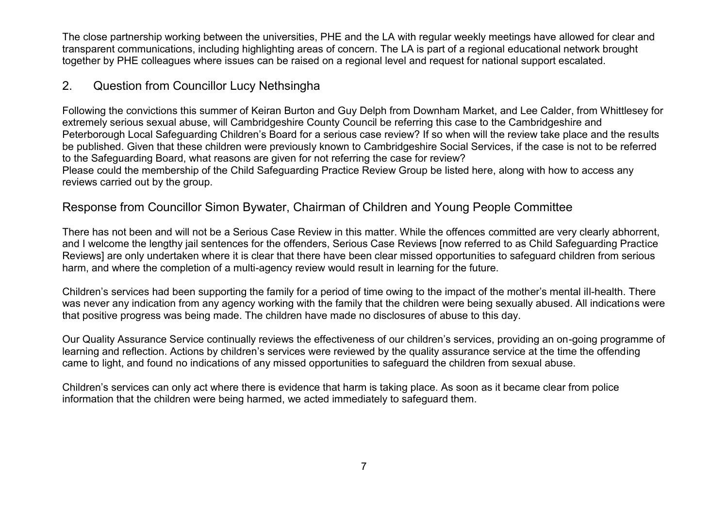The close partnership working between the universities, PHE and the LA with regular weekly meetings have allowed for clear and transparent communications, including highlighting areas of concern. The LA is part of a regional educational network brought together by PHE colleagues where issues can be raised on a regional level and request for national support escalated.

### 2. Question from Councillor Lucy Nethsingha

Following the convictions this summer of Keiran Burton and Guy Delph from Downham Market, and Lee Calder, from Whittlesey for extremely serious sexual abuse, will Cambridgeshire County Council be referring this case to the Cambridgeshire and Peterborough Local Safeguarding Children's Board for a serious case review? If so when will the review take place and the results be published. Given that these children were previously known to Cambridgeshire Social Services, if the case is not to be referred to the Safeguarding Board, what reasons are given for not referring the case for review? Please could the membership of the Child Safeguarding Practice Review Group be listed here, along with how to access any reviews carried out by the group.

## Response from Councillor Simon Bywater, Chairman of Children and Young People Committee

There has not been and will not be a Serious Case Review in this matter. While the offences committed are very clearly abhorrent, and I welcome the lengthy jail sentences for the offenders, Serious Case Reviews [now referred to as Child Safeguarding Practice Reviews] are only undertaken where it is clear that there have been clear missed opportunities to safeguard children from serious harm, and where the completion of a multi-agency review would result in learning for the future.

Children's services had been supporting the family for a period of time owing to the impact of the mother's mental ill-health. There was never any indication from any agency working with the family that the children were being sexually abused. All indications were that positive progress was being made. The children have made no disclosures of abuse to this day.

Our Quality Assurance Service continually reviews the effectiveness of our children's services, providing an on-going programme of learning and reflection. Actions by children's services were reviewed by the quality assurance service at the time the offending came to light, and found no indications of any missed opportunities to safeguard the children from sexual abuse.

Children's services can only act where there is evidence that harm is taking place. As soon as it became clear from police information that the children were being harmed, we acted immediately to safeguard them.